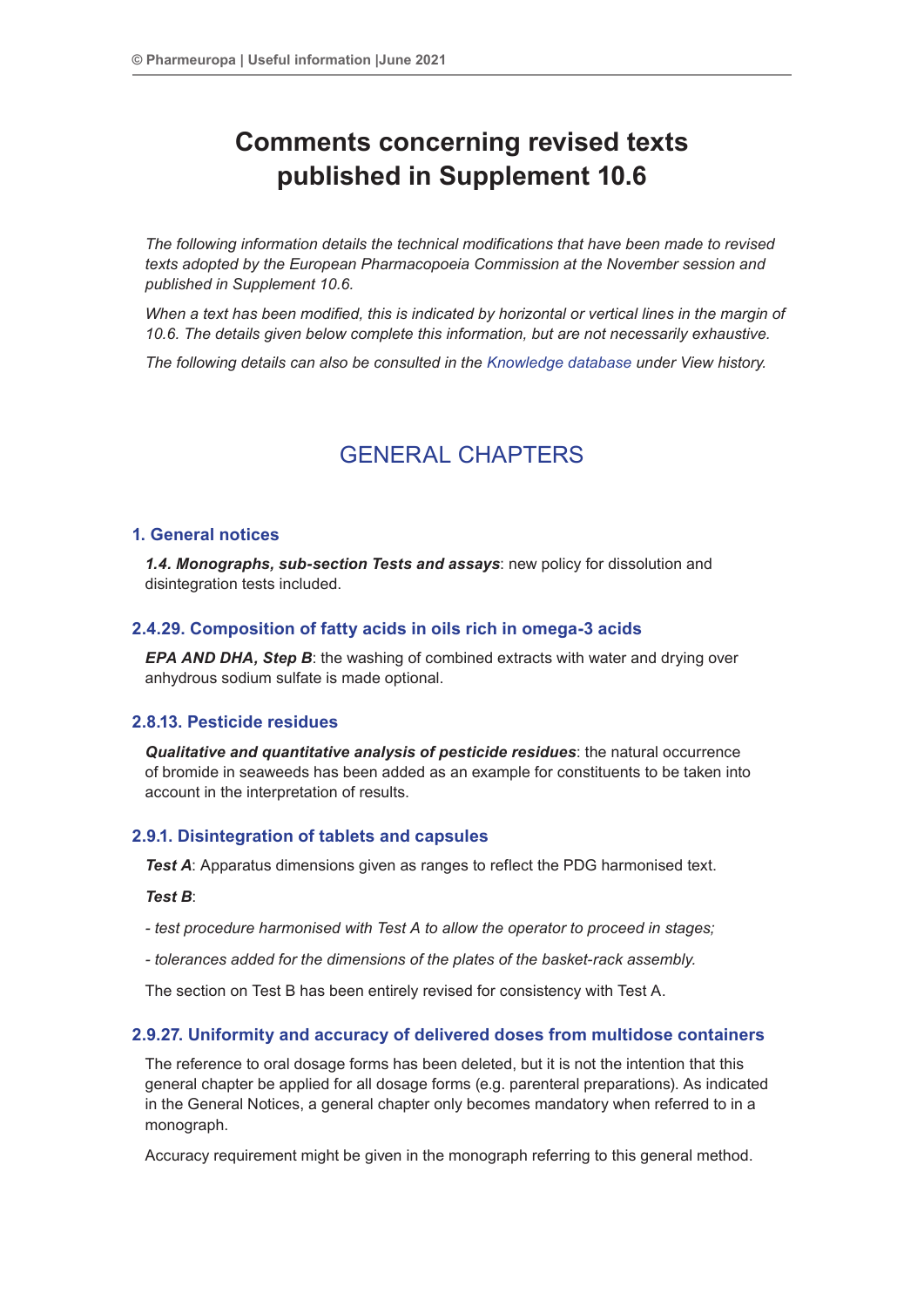# **Comments concerning revised texts published in Supplement 10.6**

*The following information details the technical modifications that have been made to revised texts adopted by the European Pharmacopoeia Commission at the November session and published in Supplement 10.6.*

*When a text has been modified, this is indicated by horizontal or vertical lines in the margin of 10.6. The details given below complete this information, but are not necessarily exhaustive.*

*The following details can also be consulted in the Knowledge database under View history.*

# GENERAL CHAPTERS

#### **1. General notices**

*1.4. Monographs, sub-section Tests and assays*: new policy for dissolution and disintegration tests included.

#### **2.4.29. Composition of fatty acids in oils rich in omega-3 acids**

*EPA AND DHA, Step B*: the washing of combined extracts with water and drying over anhydrous sodium sulfate is made optional.

#### **2.8.13. Pesticide residues**

*Qualitative and quantitative analysis of pesticide residues*: the natural occurrence of bromide in seaweeds has been added as an example for constituents to be taken into account in the interpretation of results.

#### **2.9.1. Disintegration of tablets and capsules**

*Test A*: Apparatus dimensions given as ranges to reflect the PDG harmonised text.

#### *Test B*:

*- test procedure harmonised with Test A to allow the operator to proceed in stages;*

*- tolerances added for the dimensions of the plates of the basket-rack assembly.*

The section on Test B has been entirely revised for consistency with Test A.

#### **2.9.27. Uniformity and accuracy of delivered doses from multidose containers**

The reference to oral dosage forms has been deleted, but it is not the intention that this general chapter be applied for all dosage forms (e.g. parenteral preparations). As indicated in the General Notices, a general chapter only becomes mandatory when referred to in a monograph.

Accuracy requirement might be given in the monograph referring to this general method.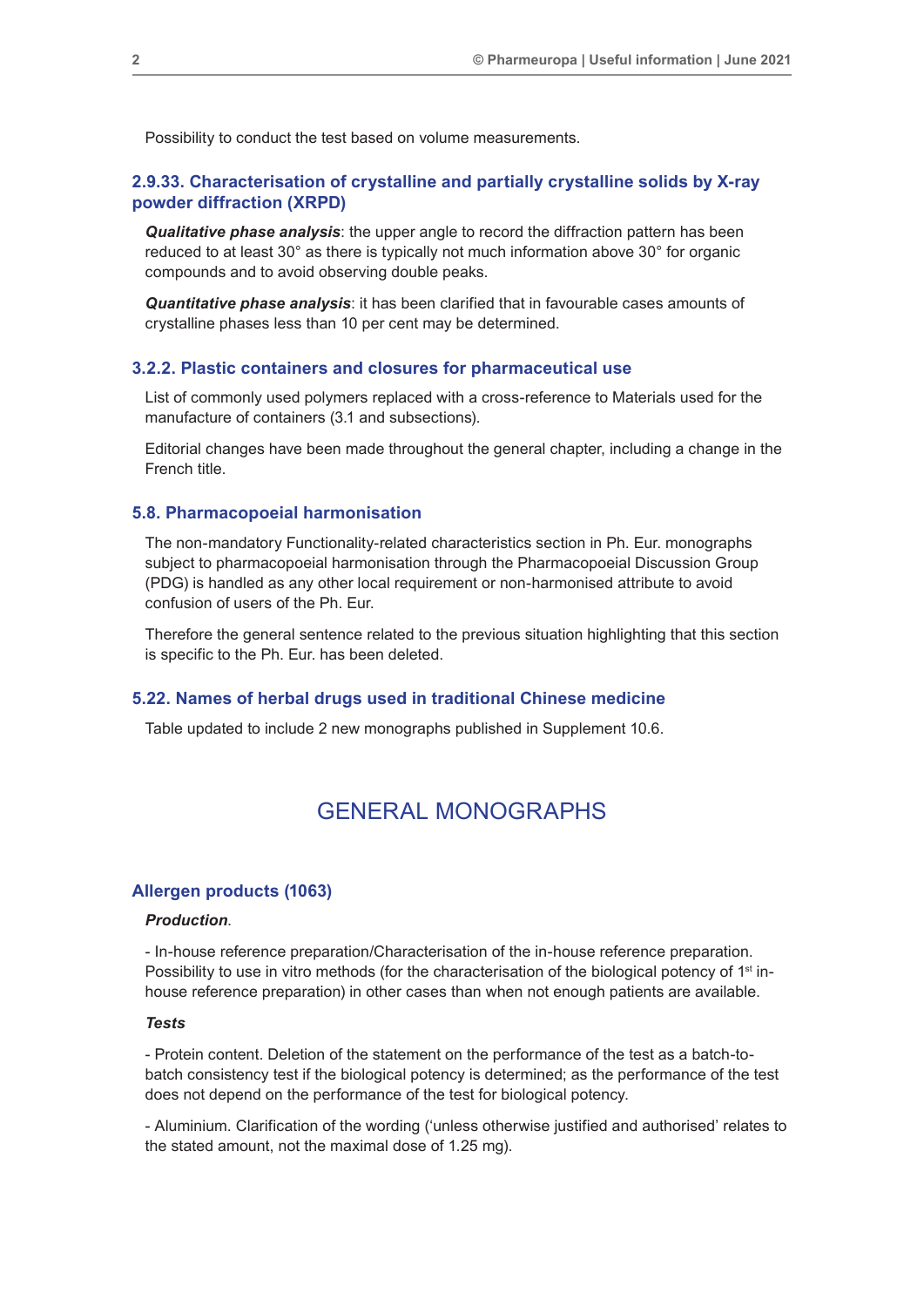Possibility to conduct the test based on volume measurements.

#### **2.9.33. Characterisation of crystalline and partially crystalline solids by X-ray powder diffraction (XRPD)**

*Qualitative phase analysis*: the upper angle to record the diffraction pattern has been reduced to at least 30° as there is typically not much information above 30° for organic compounds and to avoid observing double peaks.

*Quantitative phase analysis*: it has been clarified that in favourable cases amounts of crystalline phases less than 10 per cent may be determined.

#### **3.2.2. Plastic containers and closures for pharmaceutical use**

List of commonly used polymers replaced with a cross-reference to Materials used for the manufacture of containers (3.1 and subsections).

Editorial changes have been made throughout the general chapter, including a change in the French title.

#### **5.8. Pharmacopoeial harmonisation**

The non-mandatory Functionality-related characteristics section in Ph. Eur. monographs subject to pharmacopoeial harmonisation through the Pharmacopoeial Discussion Group (PDG) is handled as any other local requirement or non-harmonised attribute to avoid confusion of users of the Ph. Eur.

Therefore the general sentence related to the previous situation highlighting that this section is specific to the Ph. Eur. has been deleted.

#### **5.22. Names of herbal drugs used in traditional Chinese medicine**

Table updated to include 2 new monographs published in Supplement 10.6.

## GENERAL MONOGRAPHS

#### **Allergen products (1063)**

#### *Production*.

- In-house reference preparation/Characterisation of the in-house reference preparation. Possibility to use in vitro methods (for the characterisation of the biological potency of 1<sup>st</sup> inhouse reference preparation) in other cases than when not enough patients are available.

#### *Tests*

- Protein content. Deletion of the statement on the performance of the test as a batch-tobatch consistency test if the biological potency is determined; as the performance of the test does not depend on the performance of the test for biological potency.

- Aluminium. Clarification of the wording ('unless otherwise justified and authorised' relates to the stated amount, not the maximal dose of 1.25 mg).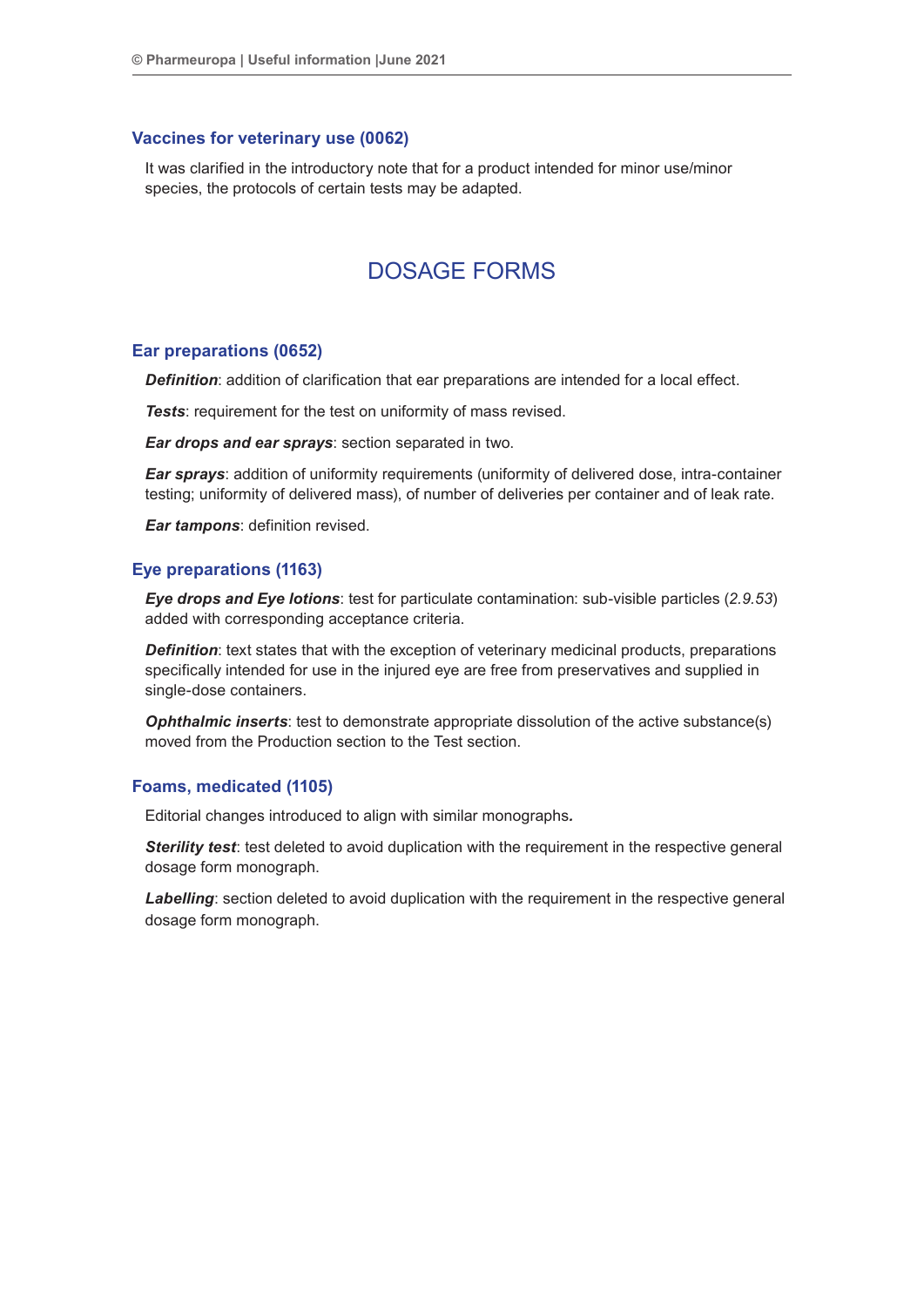#### **Vaccines for veterinary use (0062)**

It was clarified in the introductory note that for a product intended for minor use/minor species, the protocols of certain tests may be adapted.

# DOSAGE FORMS

#### **Ear preparations (0652)**

*Definition*: addition of clarification that ear preparations are intended for a local effect.

*Tests*: requirement for the test on uniformity of mass revised.

*Ear drops and ear sprays*: section separated in two.

*Ear sprays*: addition of uniformity requirements (uniformity of delivered dose, intra-container testing; uniformity of delivered mass), of number of deliveries per container and of leak rate.

*Ear tampons*: definition revised.

#### **Eye preparations (1163)**

*Eye drops and Eye lotions*: test for particulate contamination: sub-visible particles (*2.9.53*) added with corresponding acceptance criteria.

**Definition**: text states that with the exception of veterinary medicinal products, preparations specifically intended for use in the injured eye are free from preservatives and supplied in single-dose containers.

**Ophthalmic inserts**: test to demonstrate appropriate dissolution of the active substance(s) moved from the Production section to the Test section.

#### **Foams, medicated (1105)**

Editorial changes introduced to align with similar monographs*.*

**Sterility test**: test deleted to avoid duplication with the requirement in the respective general dosage form monograph.

*Labelling*: section deleted to avoid duplication with the requirement in the respective general dosage form monograph.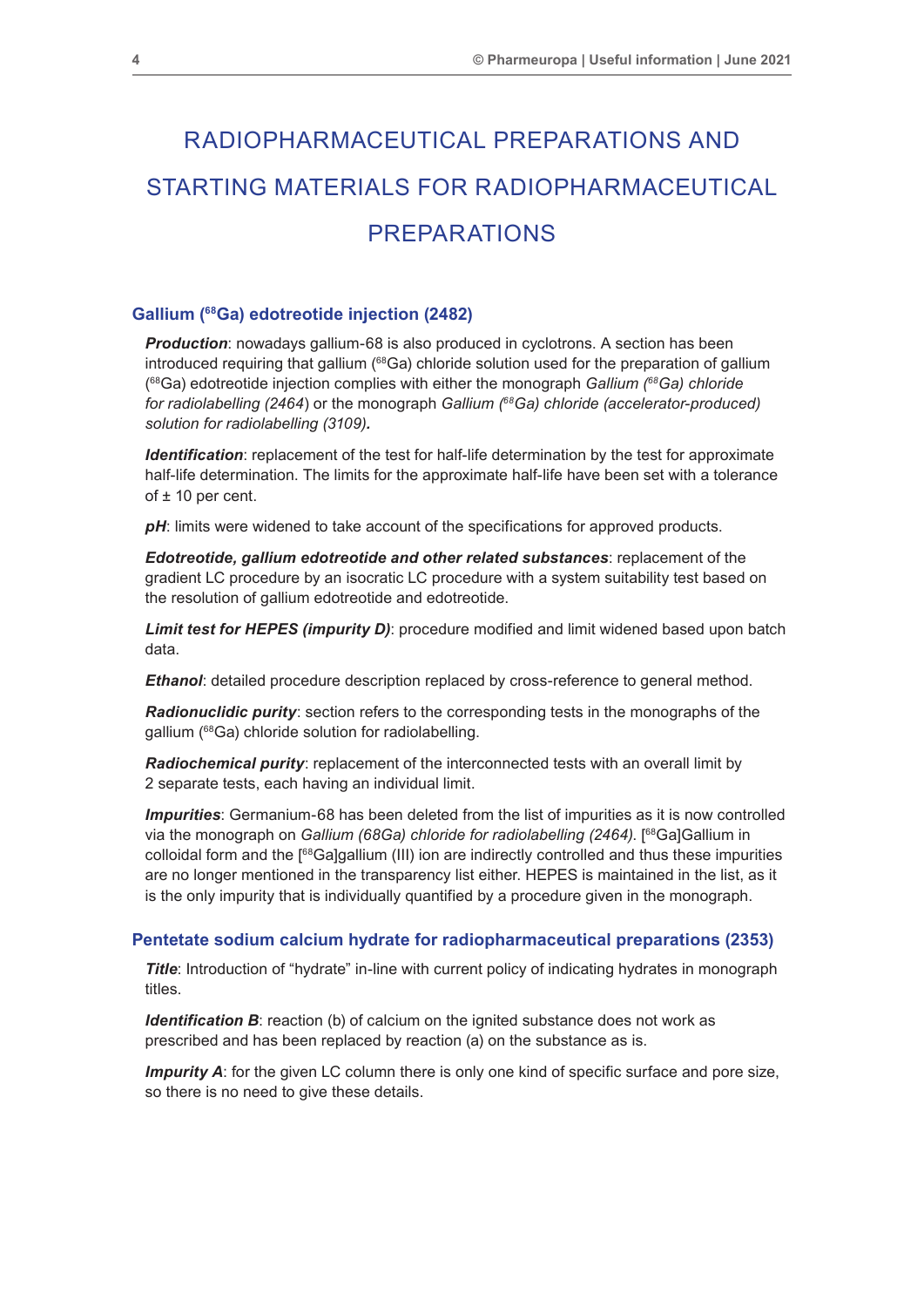# RADIOPHARMACEUTICAL PREPARATIONS AND STARTING MATERIALS FOR RADIOPHARMACEUTICAL PREPARATIONS

#### **Gallium (68Ga) edotreotide injection (2482)**

*Production*: nowadays gallium-68 is also produced in cyclotrons. A section has been introduced requiring that gallium  $(^{68}Ga)$  chloride solution used for the preparation of gallium ( 68Ga) edotreotide injection complies with either the monograph *Gallium (68Ga) chloride for radiolabelling (2464*) or the monograph *Gallium (68Ga) chloride (accelerator-produced) solution for radiolabelling (3109).*

*Identification*: replacement of the test for half-life determination by the test for approximate half-life determination. The limits for the approximate half-life have been set with a tolerance of  $\pm$  10 per cent.

pH: limits were widened to take account of the specifications for approved products.

*Edotreotide, gallium edotreotide and other related substances*: replacement of the gradient LC procedure by an isocratic LC procedure with a system suitability test based on the resolution of gallium edotreotide and edotreotide.

*Limit test for HEPES (impurity D)*: procedure modified and limit widened based upon batch data.

*Ethanol*: detailed procedure description replaced by cross-reference to general method.

*Radionuclidic purity*: section refers to the corresponding tests in the monographs of the gallium (68Ga) chloride solution for radiolabelling.

**Radiochemical purity**: replacement of the interconnected tests with an overall limit by 2 separate tests, each having an individual limit.

*Impurities*: Germanium-68 has been deleted from the list of impurities as it is now controlled via the monograph on *Gallium (68Ga) chloride for radiolabelling (2464)*. [68Ga]Gallium in colloidal form and the [68Ga]gallium (III) ion are indirectly controlled and thus these impurities are no longer mentioned in the transparency list either. HEPES is maintained in the list, as it is the only impurity that is individually quantified by a procedure given in the monograph.

#### **Pentetate sodium calcium hydrate for radiopharmaceutical preparations (2353)**

*Title*: Introduction of "hydrate" in-line with current policy of indicating hydrates in monograph titles.

*Identification B*: reaction (b) of calcium on the ignited substance does not work as prescribed and has been replaced by reaction (a) on the substance as is.

**Impurity A**: for the given LC column there is only one kind of specific surface and pore size, so there is no need to give these details.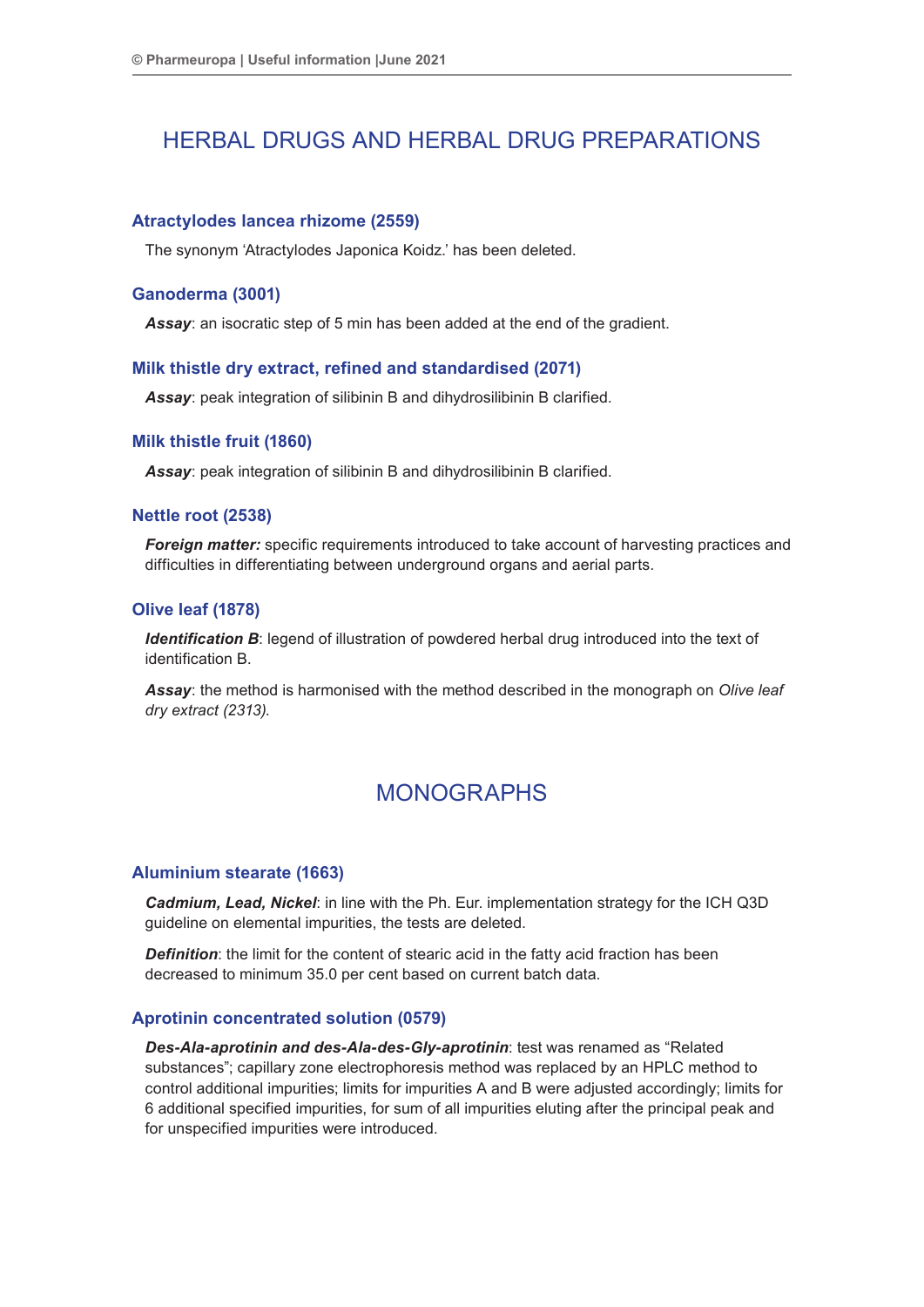# HERBAL DRUGS AND HERBAL DRUG PREPARATIONS

#### **Atractylodes lancea rhizome (2559)**

The synonym 'Atractylodes Japonica Koidz.' has been deleted.

#### **Ganoderma (3001)**

*Assay*: an isocratic step of 5 min has been added at the end of the gradient.

#### **Milk thistle dry extract, refined and standardised (2071)**

*Assay*: peak integration of silibinin B and dihydrosilibinin B clarified.

#### **Milk thistle fruit (1860)**

*Assay*: peak integration of silibinin B and dihydrosilibinin B clarified.

#### **Nettle root (2538)**

*Foreign matter:* specific requirements introduced to take account of harvesting practices and difficulties in differentiating between underground organs and aerial parts.

#### **Olive leaf (1878)**

**Identification B**: legend of illustration of powdered herbal drug introduced into the text of identification B.

*Assay*: the method is harmonised with the method described in the monograph on *Olive leaf dry extract (2313)*.

### MONOGRAPHS

#### **Aluminium stearate (1663)**

*Cadmium, Lead, Nickel*: in line with the Ph. Eur. implementation strategy for the ICH Q3D guideline on elemental impurities, the tests are deleted.

*Definition*: the limit for the content of stearic acid in the fatty acid fraction has been decreased to minimum 35.0 per cent based on current batch data.

#### **Aprotinin concentrated solution (0579)**

*Des-Ala-aprotinin and des-Ala-des-Gly-aprotinin*: test was renamed as "Related substances"; capillary zone electrophoresis method was replaced by an HPLC method to control additional impurities; limits for impurities A and B were adjusted accordingly; limits for 6 additional specified impurities, for sum of all impurities eluting after the principal peak and for unspecified impurities were introduced.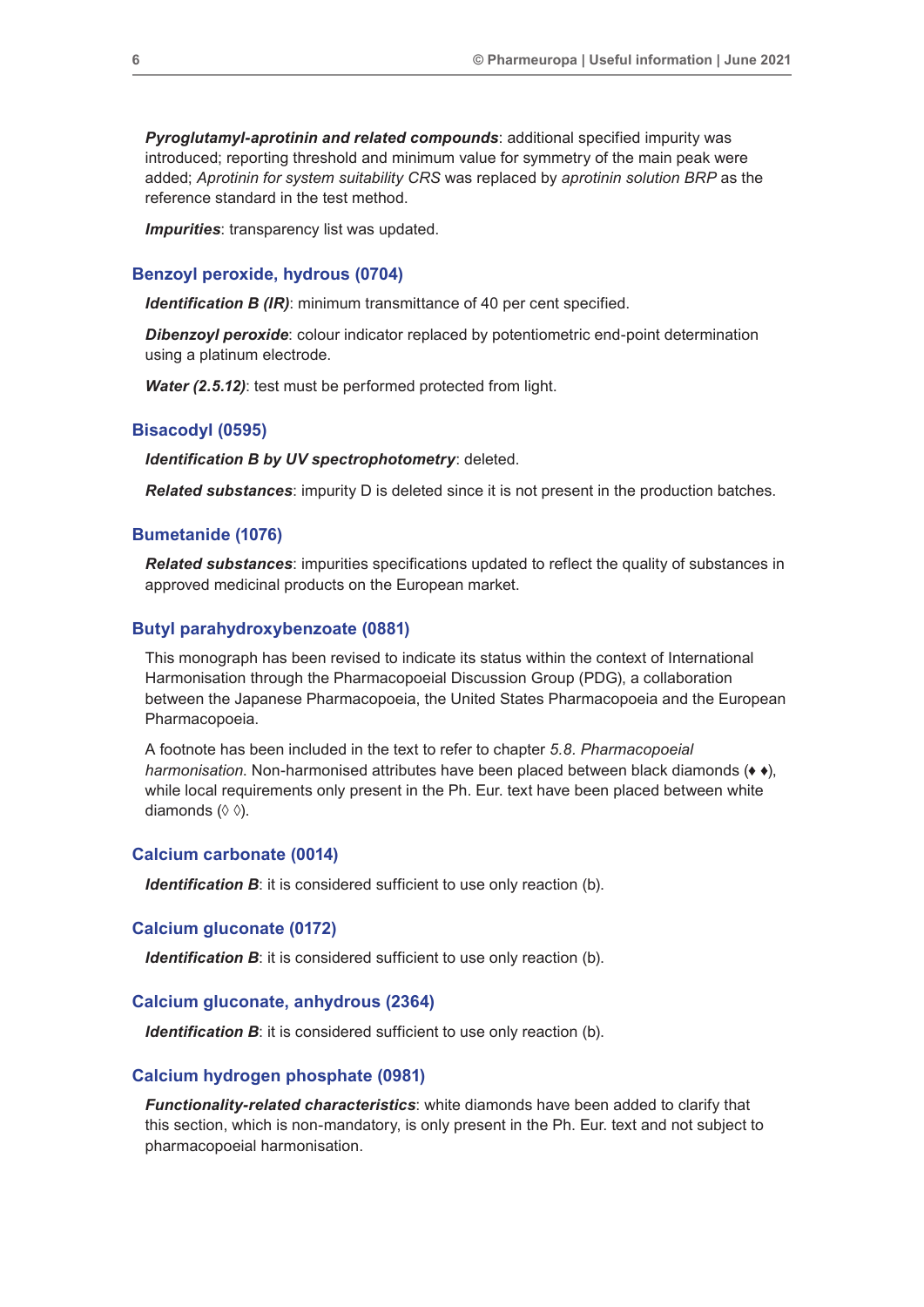*Pyroglutamyl-aprotinin and related compounds*: additional specified impurity was introduced; reporting threshold and minimum value for symmetry of the main peak were added; *Aprotinin for system suitability CRS* was replaced by *aprotinin solution BRP* as the reference standard in the test method.

*Impurities*: transparency list was updated.

#### **Benzoyl peroxide, hydrous (0704)**

*Identification B (IR)*: minimum transmittance of 40 per cent specified.

*Dibenzoyl peroxide*: colour indicator replaced by potentiometric end-point determination using a platinum electrode.

*Water (2.5.12)*: test must be performed protected from light.

#### **Bisacodyl (0595)**

*Identification B by UV spectrophotometry*: deleted.

*Related substances*: impurity D is deleted since it is not present in the production batches.

#### **Bumetanide (1076)**

*Related substances*: impurities specifications updated to reflect the quality of substances in approved medicinal products on the European market.

#### **Butyl parahydroxybenzoate (0881)**

This monograph has been revised to indicate its status within the context of International Harmonisation through the Pharmacopoeial Discussion Group (PDG), a collaboration between the Japanese Pharmacopoeia, the United States Pharmacopoeia and the European Pharmacopoeia.

A footnote has been included in the text to refer to chapter *5.8. Pharmacopoeial harmonisation*. Non-harmonised attributes have been placed between black diamonds (*♦ ♦*), while local requirements only present in the Ph. Eur. text have been placed between white diamonds (◊ ◊).

#### **Calcium carbonate (0014)**

*Identification B*: it is considered sufficient to use only reaction (b).

#### **Calcium gluconate (0172)**

*Identification B*: it is considered sufficient to use only reaction (b).

#### **Calcium gluconate, anhydrous (2364)**

*Identification B*: it is considered sufficient to use only reaction (b).

#### **Calcium hydrogen phosphate (0981)**

*Functionality-related characteristics*: white diamonds have been added to clarify that this section, which is non-mandatory, is only present in the Ph. Eur. text and not subject to pharmacopoeial harmonisation.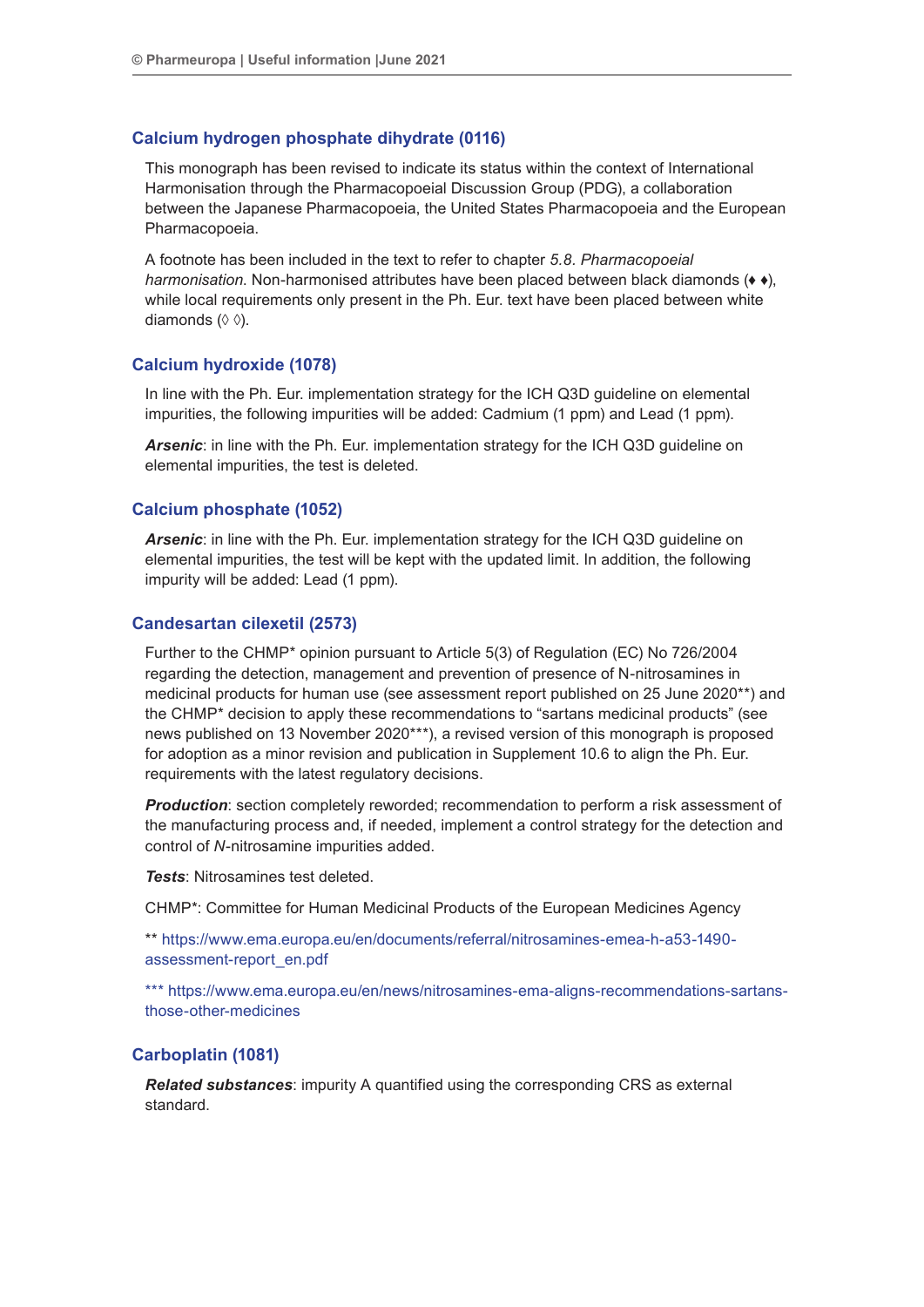#### **Calcium hydrogen phosphate dihydrate (0116)**

This monograph has been revised to indicate its status within the context of International Harmonisation through the Pharmacopoeial Discussion Group (PDG), a collaboration between the Japanese Pharmacopoeia, the United States Pharmacopoeia and the European Pharmacopoeia.

A footnote has been included in the text to refer to chapter *5.8. Pharmacopoeial harmonisation*. Non-harmonised attributes have been placed between black diamonds (♦ ♦), while local requirements only present in the Ph. Eur. text have been placed between white diamonds (◊ ◊).

#### **Calcium hydroxide (1078)**

In line with the Ph. Eur. implementation strategy for the ICH Q3D guideline on elemental impurities, the following impurities will be added: Cadmium (1 ppm) and Lead (1 ppm).

*Arsenic*: in line with the Ph. Eur. implementation strategy for the ICH Q3D guideline on elemental impurities, the test is deleted.

#### **Calcium phosphate (1052)**

*Arsenic*: in line with the Ph. Eur. implementation strategy for the ICH Q3D guideline on elemental impurities, the test will be kept with the updated limit. In addition, the following impurity will be added: Lead (1 ppm).

#### **Candesartan cilexetil (2573)**

Further to the CHMP\* opinion pursuant to Article 5(3) of Regulation (EC) No 726/2004 regarding the detection, management and prevention of presence of N-nitrosamines in medicinal products for human use (see assessment report published on 25 June 2020\*\*) and the CHMP\* decision to apply these recommendations to "sartans medicinal products" (see news published on 13 November 2020\*\*\*), a revised version of this monograph is proposed for adoption as a minor revision and publication in Supplement 10.6 to align the Ph. Eur. requirements with the latest regulatory decisions.

*Production*: section completely reworded; recommendation to perform a risk assessment of the manufacturing process and, if needed, implement a control strategy for the detection and control of *N*-nitrosamine impurities added.

*Tests*: Nitrosamines test deleted.

CHMP\*: Committee for Human Medicinal Products of the European Medicines Agency

\*\* https://www.ema.europa.eu/en/documents/referral/nitrosamines-emea-h-a53-1490 assessment-report\_en.pdf

\*\*\* https://www.ema.europa.eu/en/news/nitrosamines-ema-aligns-recommendations-sartansthose-other-medicines

#### **Carboplatin (1081)**

*Related substances*: impurity A quantified using the corresponding CRS as external standard.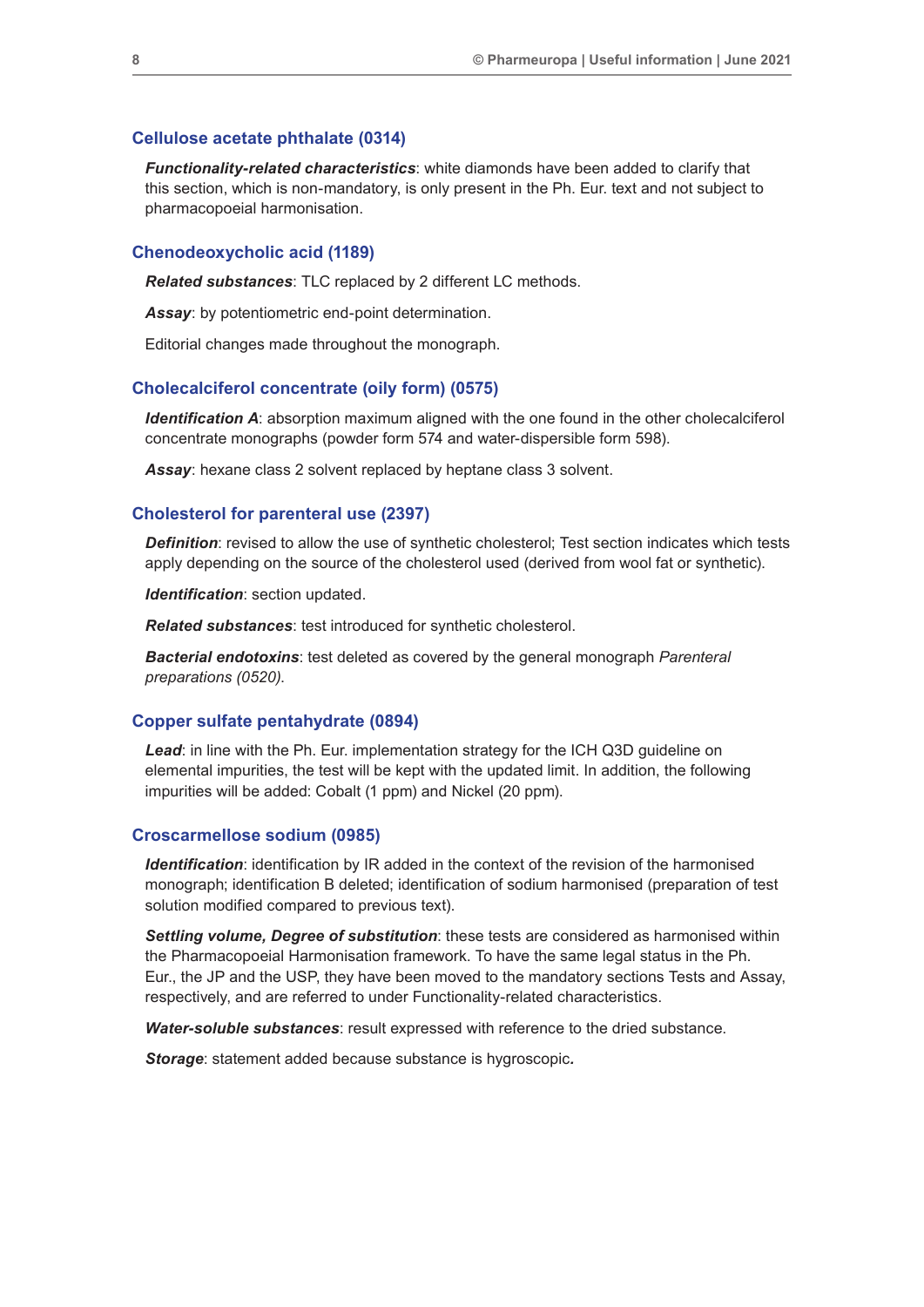#### **Cellulose acetate phthalate (0314)**

*Functionality-related characteristics*: white diamonds have been added to clarify that this section, which is non-mandatory, is only present in the Ph. Eur. text and not subject to pharmacopoeial harmonisation.

#### **Chenodeoxycholic acid (1189)**

*Related substances*: TLC replaced by 2 different LC methods.

*Assay*: by potentiometric end-point determination.

Editorial changes made throughout the monograph.

#### **Cholecalciferol concentrate (oily form) (0575)**

*Identification A:* absorption maximum aligned with the one found in the other cholecalciferol concentrate monographs (powder form 574 and water-dispersible form 598).

*Assay*: hexane class 2 solvent replaced by heptane class 3 solvent.

#### **Cholesterol for parenteral use (2397)**

*Definition*: revised to allow the use of synthetic cholesterol; Test section indicates which tests apply depending on the source of the cholesterol used (derived from wool fat or synthetic).

*Identification*: section updated.

*Related substances*: test introduced for synthetic cholesterol.

*Bacterial endotoxins*: test deleted as covered by the general monograph *Parenteral preparations (0520)*.

#### **Copper sulfate pentahydrate (0894)**

*Lead*: in line with the Ph. Eur. implementation strategy for the ICH Q3D guideline on elemental impurities, the test will be kept with the updated limit. In addition, the following impurities will be added: Cobalt (1 ppm) and Nickel (20 ppm).

#### **Croscarmellose sodium (0985)**

*Identification*: identification by IR added in the context of the revision of the harmonised monograph; identification B deleted; identification of sodium harmonised (preparation of test solution modified compared to previous text).

*Settling volume, Degree of substitution*: these tests are considered as harmonised within the Pharmacopoeial Harmonisation framework. To have the same legal status in the Ph. Eur., the JP and the USP, they have been moved to the mandatory sections Tests and Assay, respectively, and are referred to under Functionality-related characteristics.

*Water-soluble substances*: result expressed with reference to the dried substance.

*Storage*: statement added because substance is hygroscopic*.*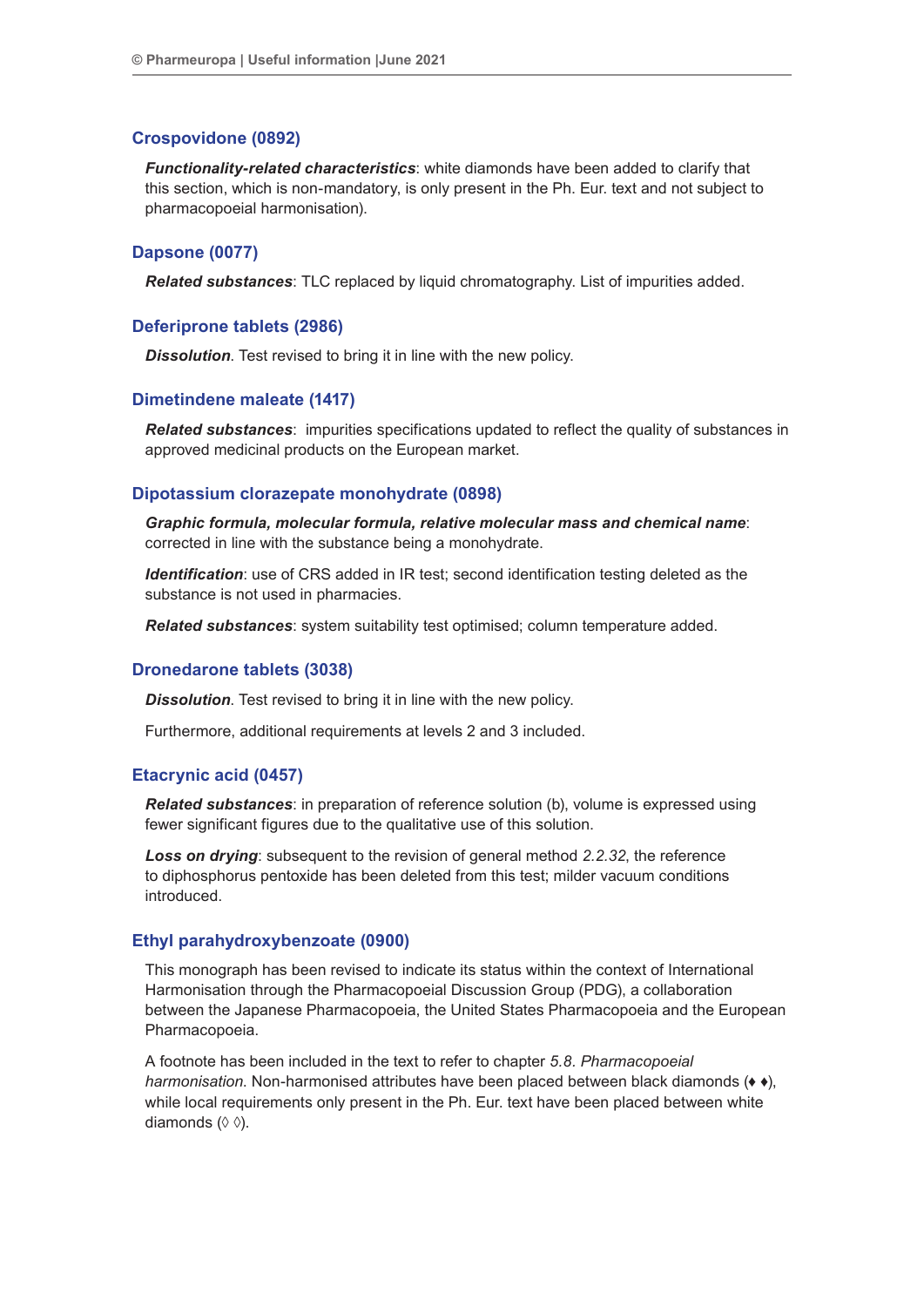#### **Crospovidone (0892)**

*Functionality-related characteristics*: white diamonds have been added to clarify that this section, which is non-mandatory, is only present in the Ph. Eur. text and not subject to pharmacopoeial harmonisation).

#### **Dapsone (0077)**

*Related substances*: TLC replaced by liquid chromatography. List of impurities added.

#### **Deferiprone tablets (2986)**

*Dissolution*. Test revised to bring it in line with the new policy.

#### **Dimetindene maleate (1417)**

*Related substances*: impurities specifications updated to reflect the quality of substances in approved medicinal products on the European market.

#### **Dipotassium clorazepate monohydrate (0898)**

*Graphic formula, molecular formula, relative molecular mass and chemical name*: corrected in line with the substance being a monohydrate.

*Identification*: use of CRS added in IR test; second identification testing deleted as the substance is not used in pharmacies.

*Related substances*: system suitability test optimised; column temperature added.

#### **Dronedarone tablets (3038)**

*Dissolution*. Test revised to bring it in line with the new policy.

Furthermore, additional requirements at levels 2 and 3 included.

#### **Etacrynic acid (0457)**

*Related substances*: in preparation of reference solution (b), volume is expressed using fewer significant figures due to the qualitative use of this solution.

*Loss on drying*: subsequent to the revision of general method *2.2.32*, the reference to diphosphorus pentoxide has been deleted from this test; milder vacuum conditions introduced.

#### **Ethyl parahydroxybenzoate (0900)**

This monograph has been revised to indicate its status within the context of International Harmonisation through the Pharmacopoeial Discussion Group (PDG), a collaboration between the Japanese Pharmacopoeia, the United States Pharmacopoeia and the European Pharmacopoeia.

A footnote has been included in the text to refer to chapter *5.8. Pharmacopoeial harmonisation*. Non-harmonised attributes have been placed between black diamonds (♦ ♦), while local requirements only present in the Ph. Eur. text have been placed between white diamonds (◊ ◊).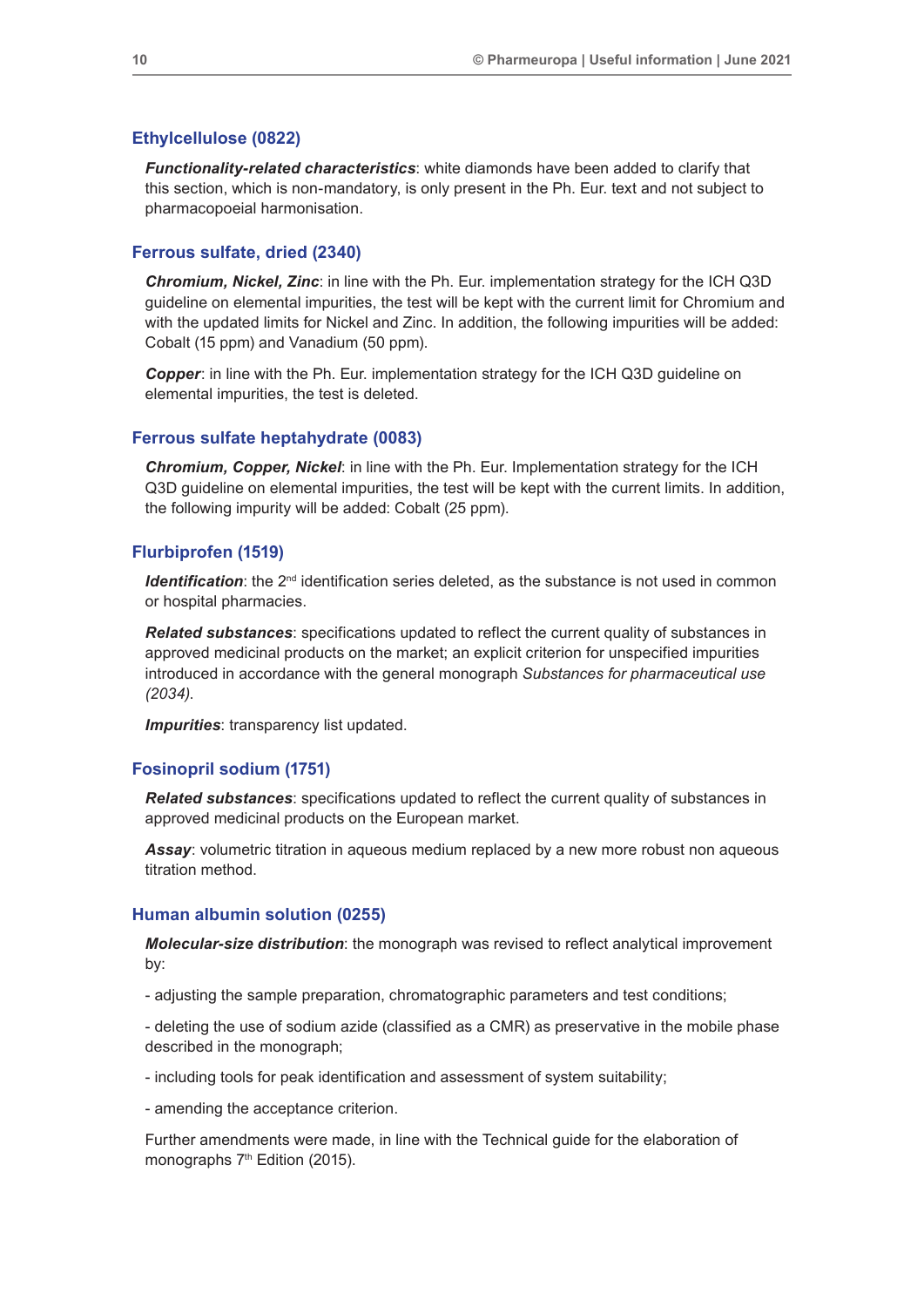#### **Ethylcellulose (0822)**

*Functionality-related characteristics*: white diamonds have been added to clarify that this section, which is non-mandatory, is only present in the Ph. Eur. text and not subject to pharmacopoeial harmonisation.

#### **Ferrous sulfate, dried (2340)**

*Chromium, Nickel, Zinc*: in line with the Ph. Eur. implementation strategy for the ICH Q3D guideline on elemental impurities, the test will be kept with the current limit for Chromium and with the updated limits for Nickel and Zinc. In addition, the following impurities will be added: Cobalt (15 ppm) and Vanadium (50 ppm).

*Copper*: in line with the Ph. Eur. implementation strategy for the ICH Q3D guideline on elemental impurities, the test is deleted.

#### **Ferrous sulfate heptahydrate (0083)**

*Chromium, Copper, Nickel*: in line with the Ph. Eur. Implementation strategy for the ICH Q3D guideline on elemental impurities, the test will be kept with the current limits. In addition, the following impurity will be added: Cobalt (25 ppm).

#### **Flurbiprofen (1519)**

**Identification**: the 2<sup>nd</sup> identification series deleted, as the substance is not used in common or hospital pharmacies.

*Related substances*: specifications updated to reflect the current quality of substances in approved medicinal products on the market; an explicit criterion for unspecified impurities introduced in accordance with the general monograph *Substances for pharmaceutical use (2034)*.

*Impurities:* transparency list updated.

#### **Fosinopril sodium (1751)**

*Related substances*: specifications updated to reflect the current quality of substances in approved medicinal products on the European market.

**Assay:** volumetric titration in aqueous medium replaced by a new more robust non aqueous titration method.

#### **Human albumin solution (0255)**

*Molecular-size distribution*: the monograph was revised to reflect analytical improvement by:

- adjusting the sample preparation, chromatographic parameters and test conditions;

- deleting the use of sodium azide (classified as a CMR) as preservative in the mobile phase described in the monograph;

- including tools for peak identification and assessment of system suitability;

- amending the acceptance criterion.

Further amendments were made, in line with the Technical guide for the elaboration of monographs 7<sup>th</sup> Edition (2015).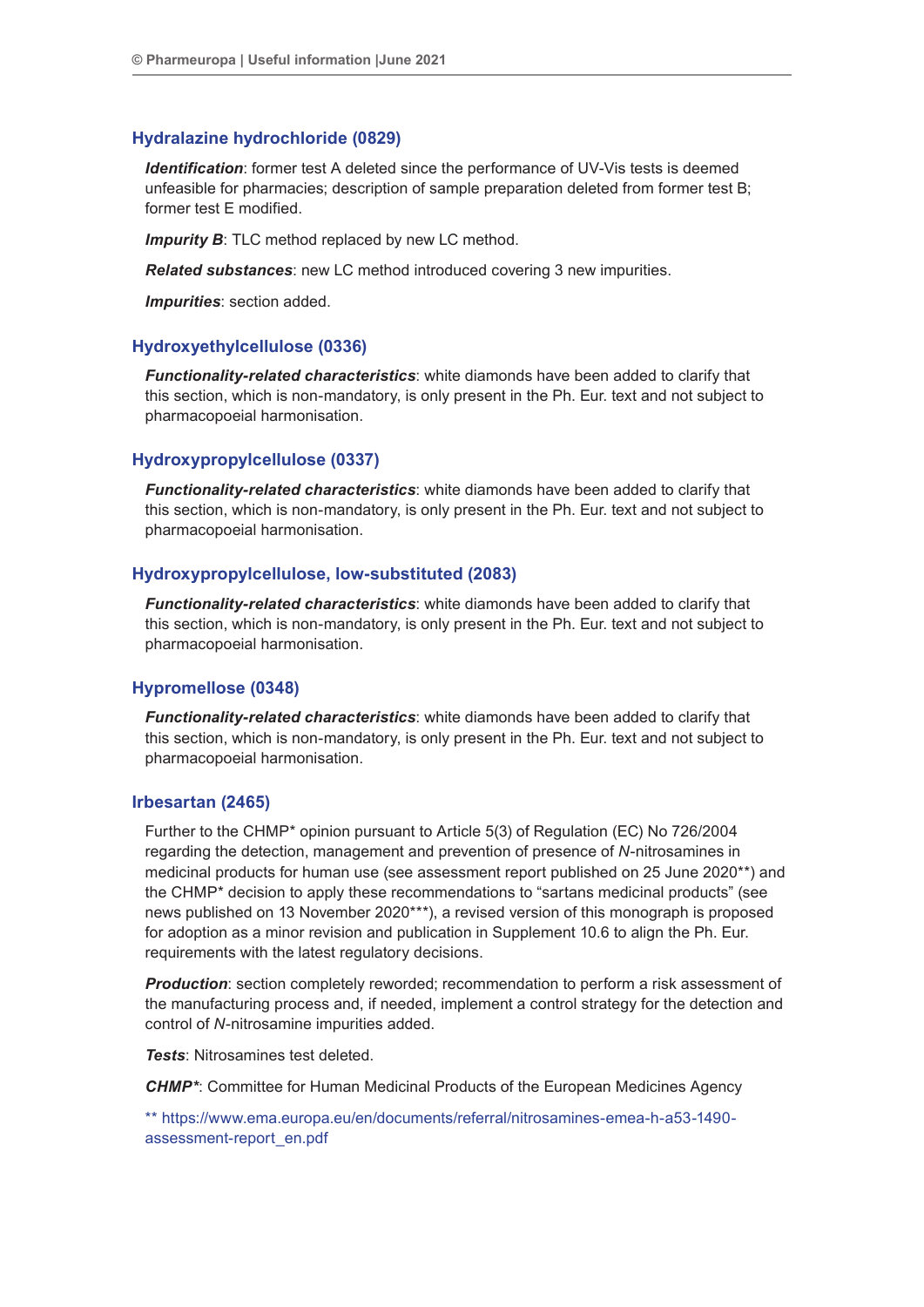#### **Hydralazine hydrochloride (0829)**

*Identification:* former test A deleted since the performance of UV-Vis tests is deemed unfeasible for pharmacies; description of sample preparation deleted from former test B; former test E modified.

**Impurity B:** TLC method replaced by new LC method.

*Related substances*: new LC method introduced covering 3 new impurities.

*Impurities*: section added.

#### **Hydroxyethylcellulose (0336)**

*Functionality-related characteristics*: white diamonds have been added to clarify that this section, which is non-mandatory, is only present in the Ph. Eur. text and not subject to pharmacopoeial harmonisation.

#### **Hydroxypropylcellulose (0337)**

*Functionality-related characteristics*: white diamonds have been added to clarify that this section, which is non-mandatory, is only present in the Ph. Eur. text and not subject to pharmacopoeial harmonisation.

#### **Hydroxypropylcellulose, low-substituted (2083)**

*Functionality-related characteristics*: white diamonds have been added to clarify that this section, which is non-mandatory, is only present in the Ph. Eur. text and not subject to pharmacopoeial harmonisation.

#### **Hypromellose (0348)**

*Functionality-related characteristics*: white diamonds have been added to clarify that this section, which is non-mandatory, is only present in the Ph. Eur. text and not subject to pharmacopoeial harmonisation.

#### **Irbesartan (2465)**

Further to the CHMP\* opinion pursuant to Article 5(3) of Regulation (EC) No 726/2004 regarding the detection, management and prevention of presence of *N*-nitrosamines in medicinal products for human use (see assessment report published on 25 June 2020\*\*) and the CHMP\* decision to apply these recommendations to "sartans medicinal products" (see news published on 13 November 2020\*\*\*), a revised version of this monograph is proposed for adoption as a minor revision and publication in Supplement 10.6 to align the Ph. Eur. requirements with the latest regulatory decisions.

*Production*: section completely reworded; recommendation to perform a risk assessment of the manufacturing process and, if needed, implement a control strategy for the detection and control of *N*-nitrosamine impurities added.

*Tests*: Nitrosamines test deleted.

*CHMP\**: Committee for Human Medicinal Products of the European Medicines Agency

\*\* https://www.ema.europa.eu/en/documents/referral/nitrosamines-emea-h-a53-1490 assessment-report\_en.pdf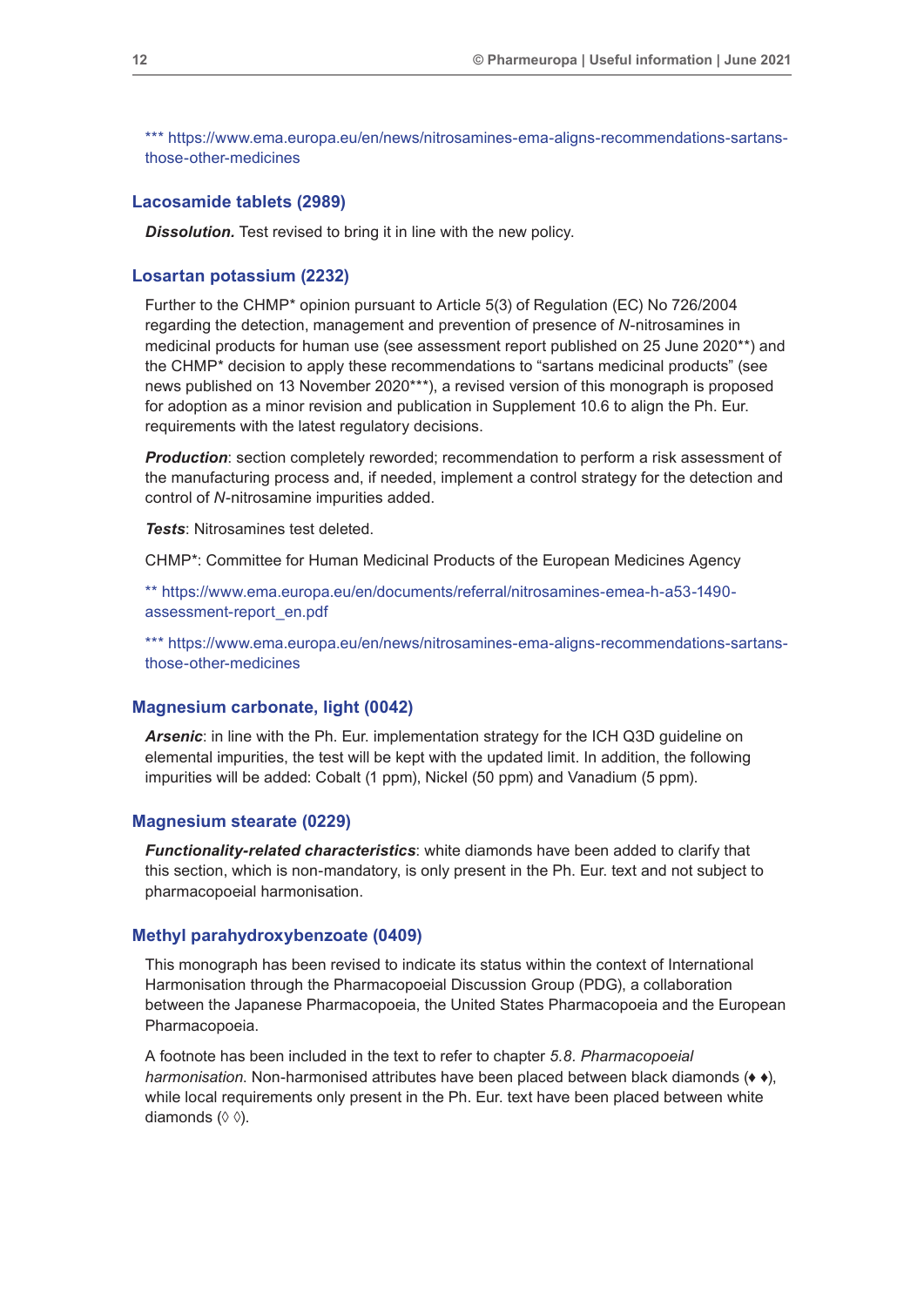\*\*\* https://www.ema.europa.eu/en/news/nitrosamines-ema-aligns-recommendations-sartansthose-other-medicines

#### **Lacosamide tablets (2989)**

*Dissolution.* Test revised to bring it in line with the new policy.

#### **Losartan potassium (2232)**

Further to the CHMP\* opinion pursuant to Article 5(3) of Regulation (EC) No 726/2004 regarding the detection, management and prevention of presence of *N*-nitrosamines in medicinal products for human use (see assessment report published on 25 June 2020\*\*) and the CHMP\* decision to apply these recommendations to "sartans medicinal products" (see news published on 13 November 2020\*\*\*), a revised version of this monograph is proposed for adoption as a minor revision and publication in Supplement 10.6 to align the Ph. Eur. requirements with the latest regulatory decisions.

*Production*: section completely reworded; recommendation to perform a risk assessment of the manufacturing process and, if needed, implement a control strategy for the detection and control of *N*-nitrosamine impurities added.

*Tests*: Nitrosamines test deleted.

CHMP\*: Committee for Human Medicinal Products of the European Medicines Agency

\*\* https://www.ema.europa.eu/en/documents/referral/nitrosamines-emea-h-a53-1490 assessment-report\_en.pdf

\*\*\* https://www.ema.europa.eu/en/news/nitrosamines-ema-aligns-recommendations-sartansthose-other-medicines

#### **Magnesium carbonate, light (0042)**

*Arsenic*: in line with the Ph. Eur. implementation strategy for the ICH Q3D guideline on elemental impurities, the test will be kept with the updated limit. In addition, the following impurities will be added: Cobalt (1 ppm), Nickel (50 ppm) and Vanadium (5 ppm).

#### **Magnesium stearate (0229)**

*Functionality-related characteristics*: white diamonds have been added to clarify that this section, which is non-mandatory, is only present in the Ph. Eur. text and not subject to pharmacopoeial harmonisation.

#### **Methyl parahydroxybenzoate (0409)**

This monograph has been revised to indicate its status within the context of International Harmonisation through the Pharmacopoeial Discussion Group (PDG), a collaboration between the Japanese Pharmacopoeia, the United States Pharmacopoeia and the European Pharmacopoeia.

A footnote has been included in the text to refer to chapter *5.8. Pharmacopoeial harmonisation*. Non-harmonised attributes have been placed between black diamonds (♦ ♦), while local requirements only present in the Ph. Eur. text have been placed between white diamonds (◊ ◊).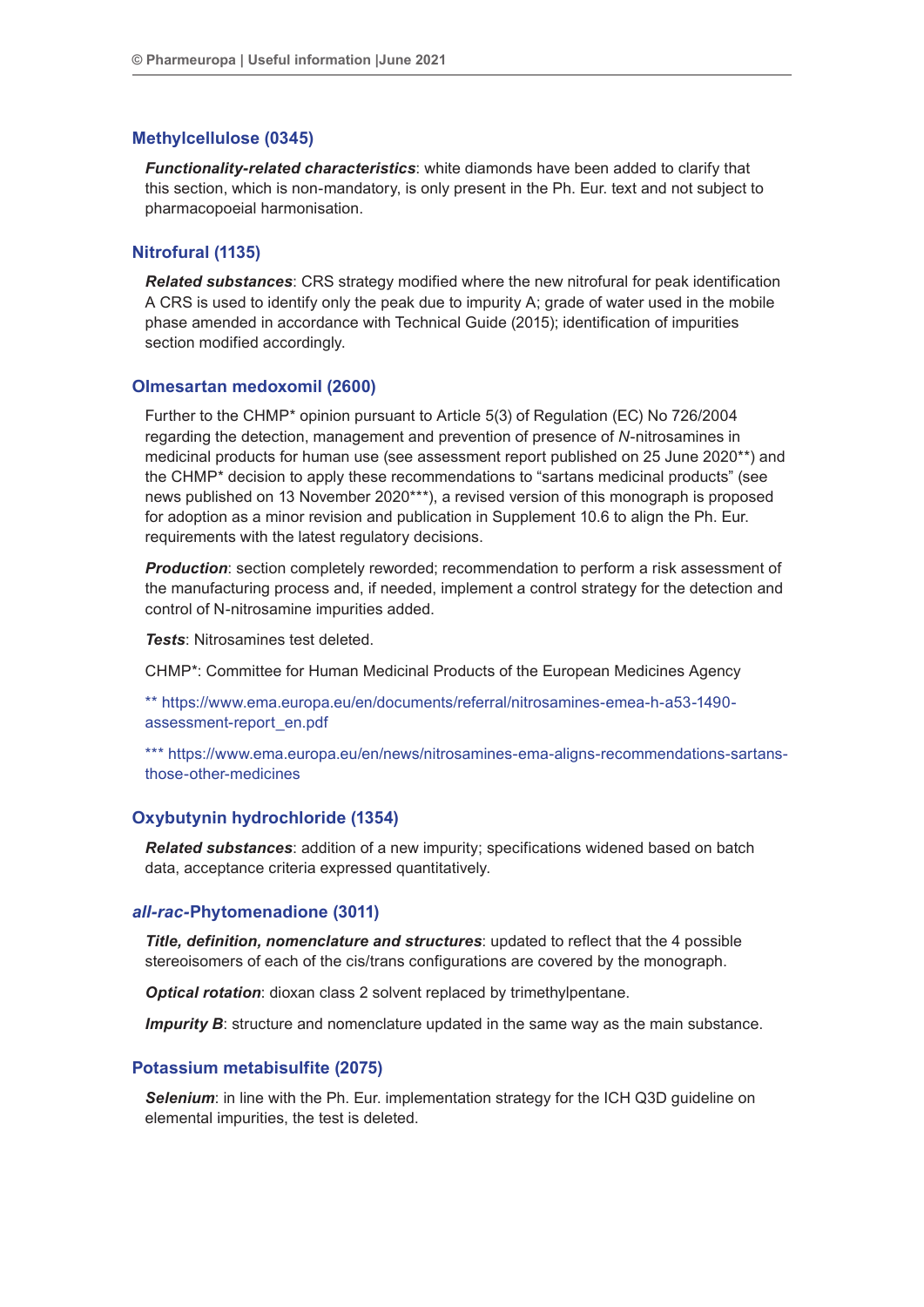#### **Methylcellulose (0345)**

*Functionality-related characteristics*: white diamonds have been added to clarify that this section, which is non-mandatory, is only present in the Ph. Eur. text and not subject to pharmacopoeial harmonisation.

#### **Nitrofural (1135)**

*Related substances*: CRS strategy modified where the new nitrofural for peak identification A CRS is used to identify only the peak due to impurity A; grade of water used in the mobile phase amended in accordance with Technical Guide (2015); identification of impurities section modified accordingly.

#### **Olmesartan medoxomil (2600)**

Further to the CHMP\* opinion pursuant to Article 5(3) of Regulation (EC) No 726/2004 regarding the detection, management and prevention of presence of *N*-nitrosamines in medicinal products for human use (see assessment report published on 25 June 2020\*\*) and the CHMP\* decision to apply these recommendations to "sartans medicinal products" (see news published on 13 November 2020\*\*\*), a revised version of this monograph is proposed for adoption as a minor revision and publication in Supplement 10.6 to align the Ph. Eur. requirements with the latest regulatory decisions.

**Production**: section completely reworded; recommendation to perform a risk assessment of the manufacturing process and, if needed, implement a control strategy for the detection and control of N-nitrosamine impurities added.

*Tests*: Nitrosamines test deleted.

CHMP\*: Committee for Human Medicinal Products of the European Medicines Agency

\*\* https://www.ema.europa.eu/en/documents/referral/nitrosamines-emea-h-a53-1490 assessment-report\_en.pdf

\*\*\* https://www.ema.europa.eu/en/news/nitrosamines-ema-aligns-recommendations-sartansthose-other-medicines

#### **Oxybutynin hydrochloride (1354)**

*Related substances*: addition of a new impurity; specifications widened based on batch data, acceptance criteria expressed quantitatively.

#### *all-rac-***Phytomenadione (3011)**

*Title, definition, nomenclature and structures*: updated to reflect that the 4 possible stereoisomers of each of the cis/trans configurations are covered by the monograph.

*Optical rotation*: dioxan class 2 solvent replaced by trimethylpentane.

*Impurity B*: structure and nomenclature updated in the same way as the main substance.

#### **Potassium metabisulfite (2075)**

**Selenium**: in line with the Ph. Eur. implementation strategy for the ICH Q3D quideline on elemental impurities, the test is deleted.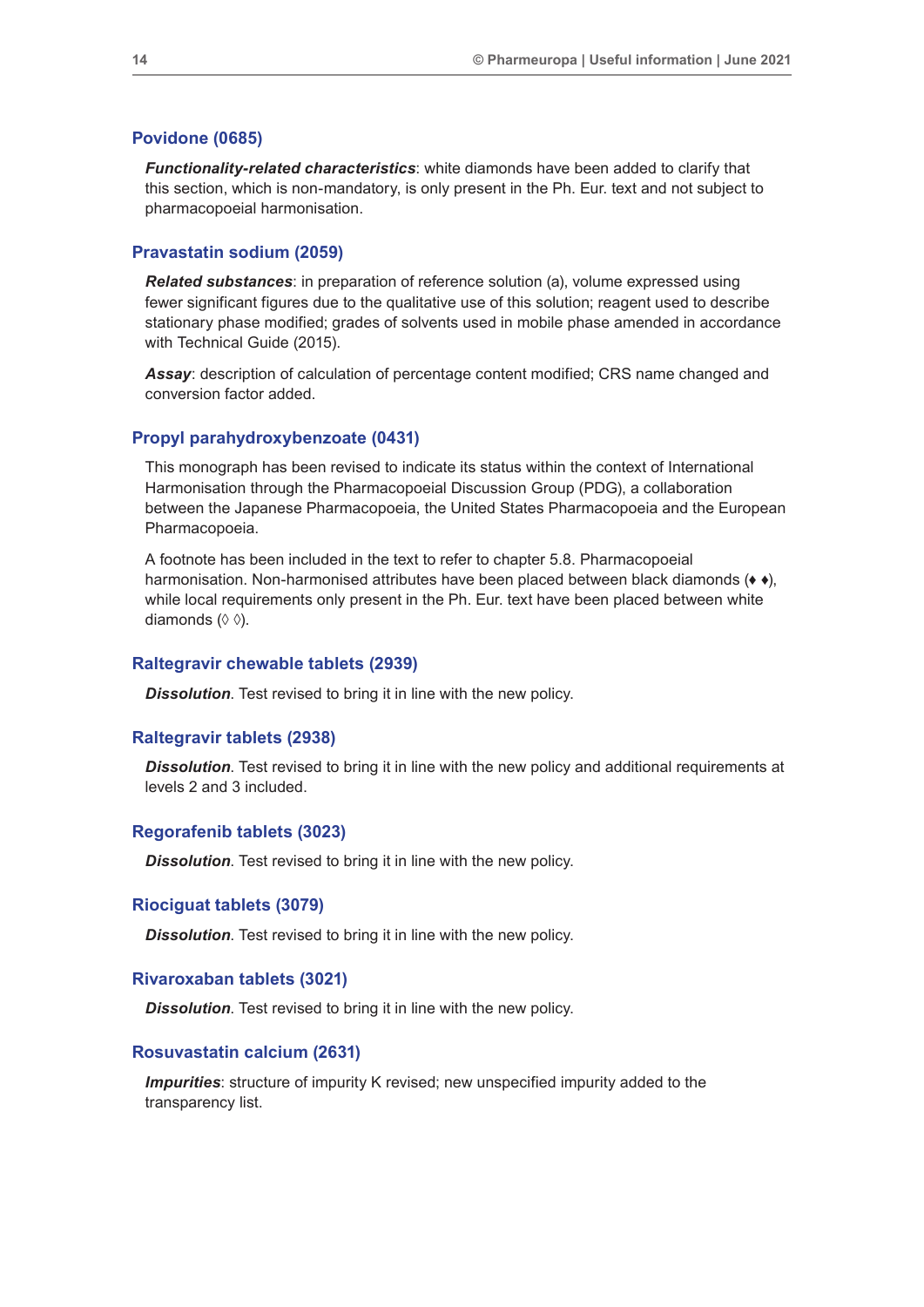#### **Povidone (0685)**

*Functionality-related characteristics*: white diamonds have been added to clarify that this section, which is non-mandatory, is only present in the Ph. Eur. text and not subject to pharmacopoeial harmonisation.

#### **Pravastatin sodium (2059)**

*Related substances*: in preparation of reference solution (a), volume expressed using fewer significant figures due to the qualitative use of this solution; reagent used to describe stationary phase modified; grades of solvents used in mobile phase amended in accordance with Technical Guide (2015).

*Assay*: description of calculation of percentage content modified; CRS name changed and conversion factor added.

#### **Propyl parahydroxybenzoate (0431)**

This monograph has been revised to indicate its status within the context of International Harmonisation through the Pharmacopoeial Discussion Group (PDG), a collaboration between the Japanese Pharmacopoeia, the United States Pharmacopoeia and the European Pharmacopoeia.

A footnote has been included in the text to refer to chapter 5.8. Pharmacopoeial harmonisation. Non-harmonised attributes have been placed between black diamonds (♦ ♦), while local requirements only present in the Ph. Eur. text have been placed between white diamonds (◊ ◊).

#### **Raltegravir chewable tablets (2939)**

*Dissolution*. Test revised to bring it in line with the new policy.

#### **Raltegravir tablets (2938)**

*Dissolution*. Test revised to bring it in line with the new policy and additional requirements at levels 2 and 3 included.

#### **Regorafenib tablets (3023)**

*Dissolution*. Test revised to bring it in line with the new policy.

#### **Riociguat tablets (3079)**

*Dissolution*. Test revised to bring it in line with the new policy.

#### **Rivaroxaban tablets (3021)**

*Dissolution*. Test revised to bring it in line with the new policy.

#### **Rosuvastatin calcium (2631)**

*Impurities*: structure of impurity K revised; new unspecified impurity added to the transparency list.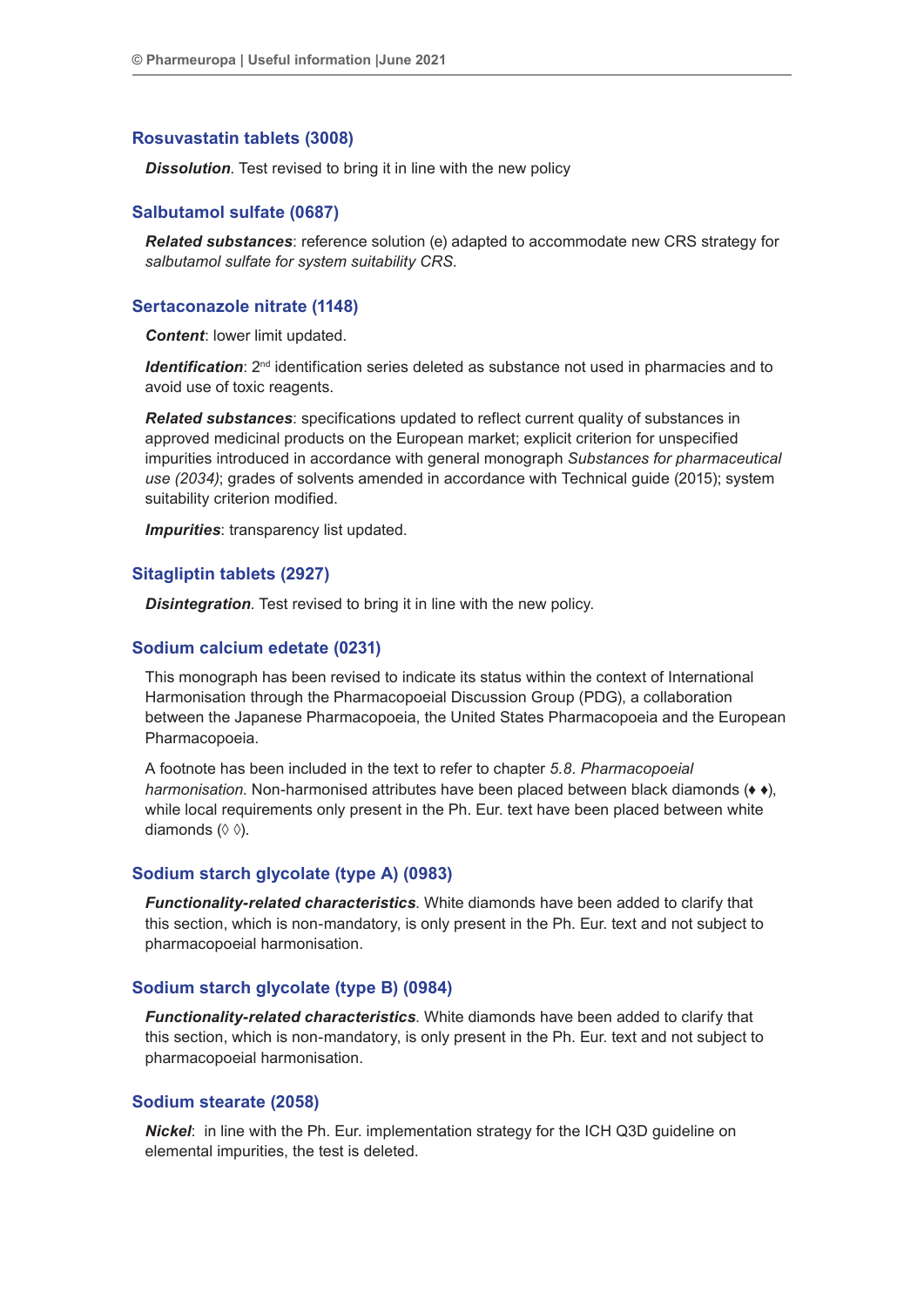#### **Rosuvastatin tablets (3008)**

*Dissolution*. Test revised to bring it in line with the new policy

#### **Salbutamol sulfate (0687)**

*Related substances*: reference solution (e) adapted to accommodate new CRS strategy for *salbutamol sulfate for system suitability CRS*.

#### **Sertaconazole nitrate (1148)**

*Content*: lower limit updated.

*Identification:*  $2^{nd}$  identification series deleted as substance not used in pharmacies and to avoid use of toxic reagents.

*Related substances*: specifications updated to reflect current quality of substances in approved medicinal products on the European market; explicit criterion for unspecified impurities introduced in accordance with general monograph *Substances for pharmaceutical use (2034)*; grades of solvents amended in accordance with Technical guide (2015); system suitability criterion modified.

*Impurities*: transparency list updated.

#### **Sitagliptin tablets (2927)**

*Disintegration*. Test revised to bring it in line with the new policy.

#### **Sodium calcium edetate (0231)**

This monograph has been revised to indicate its status within the context of International Harmonisation through the Pharmacopoeial Discussion Group (PDG), a collaboration between the Japanese Pharmacopoeia, the United States Pharmacopoeia and the European Pharmacopoeia.

A footnote has been included in the text to refer to chapter *5.8. Pharmacopoeial harmonisation*. Non-harmonised attributes have been placed between black diamonds (♦ ♦), while local requirements only present in the Ph. Eur. text have been placed between white diamonds (◊ ◊).

#### **Sodium starch glycolate (type A) (0983)**

*Functionality-related characteristics*. White diamonds have been added to clarify that this section, which is non-mandatory, is only present in the Ph. Eur. text and not subject to pharmacopoeial harmonisation.

#### **Sodium starch glycolate (type B) (0984)**

*Functionality-related characteristics*. White diamonds have been added to clarify that this section, which is non-mandatory, is only present in the Ph. Eur. text and not subject to pharmacopoeial harmonisation.

#### **Sodium stearate (2058)**

*Nickel*: in line with the Ph. Eur. implementation strategy for the ICH Q3D guideline on elemental impurities, the test is deleted.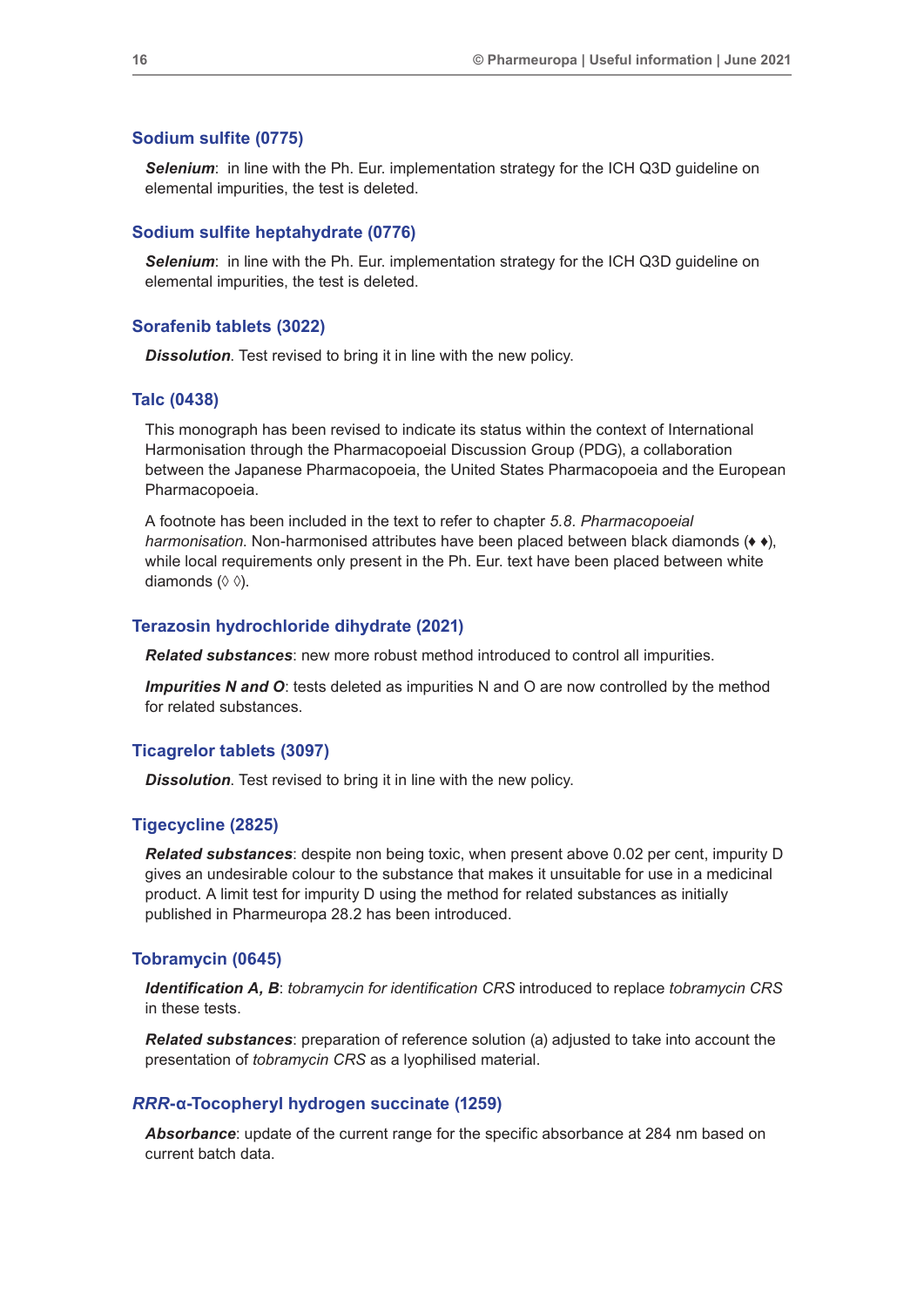#### **Sodium sulfite (0775)**

*Selenium*: in line with the Ph. Eur. implementation strategy for the ICH Q3D guideline on elemental impurities, the test is deleted.

#### **Sodium sulfite heptahydrate (0776)**

*Selenium*: in line with the Ph. Eur. implementation strategy for the ICH Q3D guideline on elemental impurities, the test is deleted.

#### **Sorafenib tablets (3022)**

*Dissolution*. Test revised to bring it in line with the new policy.

#### **Talc (0438)**

This monograph has been revised to indicate its status within the context of International Harmonisation through the Pharmacopoeial Discussion Group (PDG), a collaboration between the Japanese Pharmacopoeia, the United States Pharmacopoeia and the European Pharmacopoeia.

A footnote has been included in the text to refer to chapter *5.8. Pharmacopoeial harmonisation*. Non-harmonised attributes have been placed between black diamonds (♦ ♦), while local requirements only present in the Ph. Eur. text have been placed between white diamonds (◊ ◊).

#### **Terazosin hydrochloride dihydrate (2021)**

*Related substances*: new more robust method introduced to control all impurities.

*Impurities N and O*: tests deleted as impurities N and O are now controlled by the method for related substances.

#### **Ticagrelor tablets (3097)**

*Dissolution*. Test revised to bring it in line with the new policy.

#### **Tigecycline (2825)**

*Related substances*: despite non being toxic, when present above 0.02 per cent, impurity D gives an undesirable colour to the substance that makes it unsuitable for use in a medicinal product. A limit test for impurity D using the method for related substances as initially published in Pharmeuropa 28.2 has been introduced.

#### **Tobramycin (0645)**

*Identification A, B*: *tobramycin for identification CRS* introduced to replace *tobramycin CRS* in these tests.

*Related substances*: preparation of reference solution (a) adjusted to take into account the presentation of *tobramycin CRS* as a lyophilised material.

#### *RRR***-α-Tocopheryl hydrogen succinate (1259)**

*Absorbance*: update of the current range for the specific absorbance at 284 nm based on current batch data.